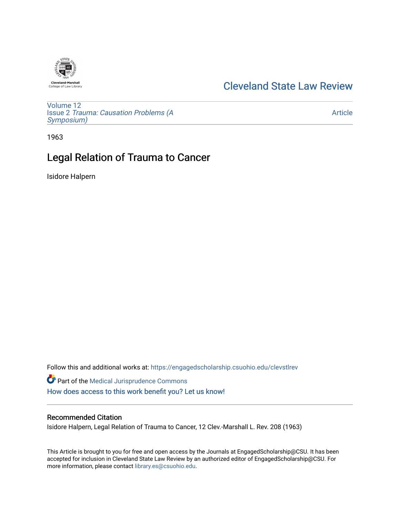

## [Cleveland State Law Review](https://engagedscholarship.csuohio.edu/clevstlrev)

[Volume 12](https://engagedscholarship.csuohio.edu/clevstlrev/vol12) Issue 2 [Trauma: Causation Problems \(A](https://engagedscholarship.csuohio.edu/clevstlrev/vol12/iss2) [Symposium\)](https://engagedscholarship.csuohio.edu/clevstlrev/vol12/iss2) 

[Article](https://engagedscholarship.csuohio.edu/clevstlrev/vol12/iss2/3) 

1963

## Legal Relation of Trauma to Cancer

Isidore Halpern

Follow this and additional works at: [https://engagedscholarship.csuohio.edu/clevstlrev](https://engagedscholarship.csuohio.edu/clevstlrev?utm_source=engagedscholarship.csuohio.edu%2Fclevstlrev%2Fvol12%2Fiss2%2F3&utm_medium=PDF&utm_campaign=PDFCoverPages)

Part of the [Medical Jurisprudence Commons](http://network.bepress.com/hgg/discipline/860?utm_source=engagedscholarship.csuohio.edu%2Fclevstlrev%2Fvol12%2Fiss2%2F3&utm_medium=PDF&utm_campaign=PDFCoverPages)  [How does access to this work benefit you? Let us know!](http://library.csuohio.edu/engaged/)

## Recommended Citation

Isidore Halpern, Legal Relation of Trauma to Cancer, 12 Clev.-Marshall L. Rev. 208 (1963)

This Article is brought to you for free and open access by the Journals at EngagedScholarship@CSU. It has been accepted for inclusion in Cleveland State Law Review by an authorized editor of EngagedScholarship@CSU. For more information, please contact [library.es@csuohio.edu](mailto:library.es@csuohio.edu).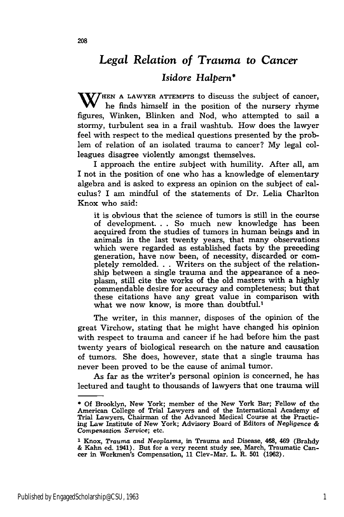## *Legal Relation of Trauma to Cancer Isidore Halpern\**

**WHEET A LAWYER ATTEMPTS** to discuss the subject of cancer, he finds himself in the position of the nursery rhyme figures, Winken, Blinken and Nod, who attempted to sail a stormy, turbulent sea in a frail washtub. How does the lawyer feel with respect to the medical questions presented by the problem of relation of an isolated trauma to cancer? My legal colleagues disagree violently amongst themselves.

I approach the entire subject with humility. After all, am I not in the position of one who has a knowledge of elementary algebra and is asked to express an opinion on the subject of calculus? I am mindful of the statements of Dr. Lelia Charlton Knox who said:

it is obvious that the science of tumors is still in the course of development. **. .** So much new knowledge has been acquired from the studies of tumors in human beings and in animals in the last twenty years, that many observations which were regarded as established facts **by** the preceding generation, have now been, of necessity, discarded or completely remolded... Writers on the subject of the relationship between a single trauma and the appearance of a neoplasm, still cite the works of the old masters with a **highly** commendable desire for accuracy and completeness; but that these citations have any great value in comparison with what we now know, is more than doubtful.<sup>1</sup>

The writer, in this manner, disposes of the opinion of the great Virchow, stating that he might have changed his opinion with respect to trauma and cancer if he had before him the past twenty years of biological research on the nature and causation of tumors. She does, however, state that a single trauma has never been proved to be the cause of animal tumor.

As far as the writer's personal opinion is concerned, he has lectured and taught to thousands of lawyers that one trauma will

**<sup>\*</sup>** Of Brooklyn, New York; member of the New York Bar; Fellow of the American College of Trial Lawyers and of the International Academy of Trial Lawyers, Chairman of the Advanced Medical Course at the Practicing Law Institute of New York; Advisory Board of Editors of *Negligence & Compensation Service;* etc.

**<sup>1</sup>**Knox, *Trauma and* Neoplasms, **in** Trauma and Disease, 468, **469** (Brahdy **&** Kahn ed. 1941). But for a very recent study see, March, Traumatic Can-cer in Workmen's Compensation, **11** Clev-Mar. L. R. **501 (1962).**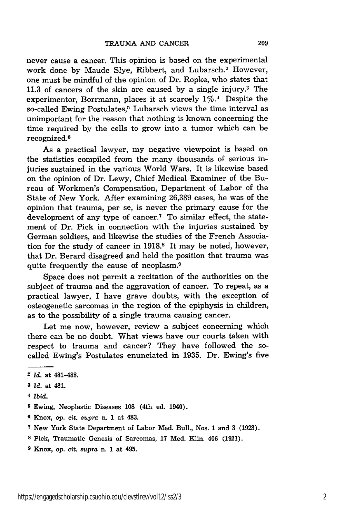never cause a cancer. This opinion is based on the experimental work done by Maude Slye, Ribbert, and Lubarsch.<sup>2</sup> However, one must be mindful of the opinion of Dr. Ropke, who states that 11.3 of cancers of the skin are caused by a single injury.3 The experimentor, Borrmann, places it at scarcely  $1\%$ .<sup>4</sup> Despite the so-called Ewing Postulates,<sup>5</sup> Lubarsch views the time interval as unimportant for the reason that nothing is known concerning the time required by the cells to grow into a tumor which can be recognized.<sup>6</sup>

As a practical lawyer, my negative viewpoint is based on the statistics compiled from the many thousands of serious injuries sustained in the various World Wars. It is likewise based on the opinion of Dr. Lewy, Chief Medical Examiner of the Bureau of Workmen's Compensation, Department of Labor of the State of New York. After examining 26,389 cases, he was of the opinion that trauma, per se, is never the primary cause for the development of any type of cancer.7 To similar effect, the statement of Dr. Pick in connection with the injuries sustained by German soldiers, and likewise the studies of the French Association for the study of cancer in 1918.<sup>8</sup> It may be noted, however, that Dr. Berard disagreed and held the position that trauma was quite frequently the cause of neoplasm.9

Space does not permit a recitation of the authorities on the subject of trauma and the aggravation of cancer. To repeat, as a practical lawyer, I have grave doubts, with the exception of osteogenetic sarcomas in the region of the epiphysis in children, as to the possibility of a single trauma causing cancer.

Let me now, however, review a subject concerning which there can be no doubt. What views have our courts taken with respect to trauma and cancer? They have followed the socalled Ewing's Postulates enunciated in 1935. Dr. Ewing's five

- **<sup>6</sup>**Knox, op. cit. *supra* n. **1** at 483.
- **<sup>7</sup>**New York State Department of Labor Med. Bull., Nos. 1 and 3 (1923).
- **8** Pick, Traumatic Genesis of Sarcomas, 17 Med. Klin. 406 (1921).
- **9** Knox, *op.* cit. *supra* n. 1 at 495.

**<sup>2</sup> Id.** at 481-488.

*<sup>3</sup> Id.* at 481.

**<sup>4</sup>**Ibid.

**<sup>5</sup>** Ewing, Neoplastic Diseases **108** (4th ed. 1940).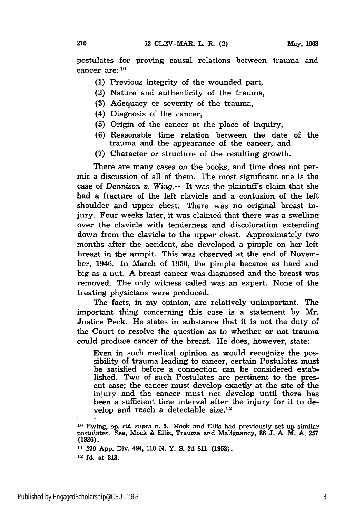postulates for proving causal relations between trauma and cancer are:<sup>10</sup>

- **(1)** Previous integrity of the wounded part,
- (2) Nature and authenticity of the trauma,
- (3) Adequacy or severity of the trauma,
- (4) Diagnosis of the cancer,

210

- (5) Origin of the cancer at the place of inquiry,
- (6) Reasonable time relation between the date of the trauma and the appearance of the cancer, and
- (7) Character or structure of the resulting growth.

There are many cases on the books, and time does not permit a discussion of all of them. The most significant one is the case of Dennison *v. Wing."'* It was the plaintiff's claim that she had a fracture of the left clavicle and a contusion of the left shoulder and upper chest. There was no original breast injury. Four weeks later, it was claimed that there was a swelling over the clavicle with tenderness and discoloration extending down from the clavicle to the upper chest. Approximately two months after the accident, she developed a pimple on her left breast in the armpit. This was observed at the end of November, 1946. In March of 1950, the pimple became as hard and big as a nut. A breast cancer was diagnosed and the breast was removed. The only witness called was an expert. None of the treating physicians were produced.

The facts, in my opinion, are relatively unimportant. The important thing concerning this case is a statement by Mr. Justice Peck. He states in substance that it is not the duty of the Court to resolve the question as to whether or not trauma could produce cancer of the breast. He does, however, state:

Even in such medical opinion as would recognize the possibility of trauma leading to cancer, certain Postulates must be satisfied before a connection can be considered established. Two of such Postulates are pertinent to the present case; the cancer must develop exactly at the site of the injury and the cancer must not develop until there has been a sufficient time interval after the injury for it to develop and reach a detectable size.<sup>12</sup>

**11 279 App.** Div. 494, **110** N. Y. S. **2d 811 (1952). <sup>12</sup>***Id.* at **813.**

**<sup>10</sup>**Ewing, op. *cit.* supra n. **5.** Mock and Ellis had previously set up similar postulates. See, Mock & Ellis, Trauma and Malignancy, **86 J. A.** M. A. **257 (1926).**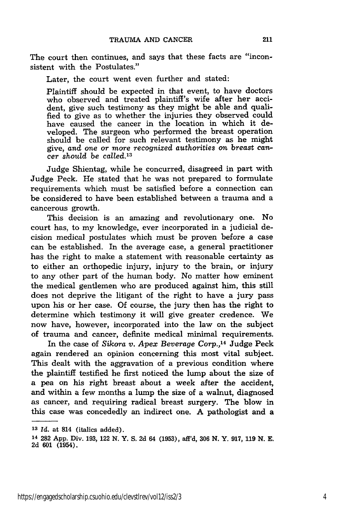The court then continues, and says that these facts are "inconsistent with the Postulates."

Later, the court went even further and stated:

Plaintiff should be expected in that event, to have doctors who observed and treated plaintiff's wife after her accident, give such testimony as they might be able and qualified to give as to whether the injuries they observed could have caused the cancer in the location in which it developed. The surgeon who performed the breast operation should be called for such relevant testimony as he might give, and *one or more recognized authorities on breast cancer should be* called. <sup>13</sup>

Judge Shientag, while he concurred, disagreed in part with Judge Peck. He stated that he was not prepared to formulate requirements which must be satisfied before a connection can be considered to have been established between a trauma and a cancerous growth.

This decision is an amazing and revolutionary one. No court has, to my knowledge, ever incorporated in a judicial decision medical postulates which must be proven before a case can be established. In the average case, a general practitioner has the right to make a statement with reasonable certainty as to either an orthopedic injury, injury to the brain, or injury to any other part of the human body. No matter how eminent the medical gentlemen who are produced against him, this still does not deprive the litigant of the right to have a jury pass upon his or her case. Of course, the jury then has the right to determine which testimony it will give greater credence. We now have, however, incorporated into the law on the subject of trauma and cancer, definite medical minimal requirements.

In the case of *Sikora v. Apex Beverage Corp.,14* Judge Peck again rendered an opinion concerning this most vital subject. This dealt with the aggravation of a previous condition where the plaintiff testified he first noticed the lump about the size of a pea on his right breast about a week after the accident, and within a few months a lump the size of a walnut, diagnosed as cancer, and requiring radical breast surgery. The blow in this case was concededly an indirect one. A pathologist and a

**<sup>13</sup>***Id.* at 814 (italics added).

<sup>14</sup>282 App. Div. 193, 122 N. Y. S. 2d 64 (1953), afl'd, **306** N. Y. 917, 119 N. E. **2d 601** (1954).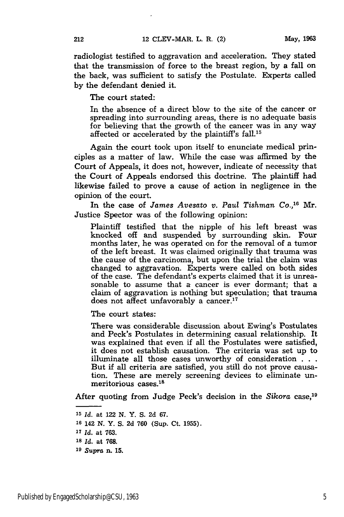radiologist testified to aggravation and acceleration. They stated that the transmission of force to the breast region, by a fall on the back, was sufficient to satisfy the Postulate. Experts called by the defendant denied it.

The court stated:

In the absence of a direct blow to the site of the cancer or spreading into surrounding areas, there is no adequate basis for believing that the growth of the cancer was in any way affected or accelerated by the plaintiff's fall.15

Again the court took upon itself to enunciate medical principles as a matter of law. While the case was affirmed by the Court of Appeals, it does not, however, indicate of necessity that the Court of Appeals endorsed this doctrine. The plaintiff had likewise failed to prove a cause of action in negligence in the opinion of the court.

In the case of *James Avesato v. Paul Tishman Co.,16* Mr. Justice Spector was of the following opinion:

Plaintiff testified that the nipple of his left breast was knocked off and suspended by surrounding skin. Four months later, he was operated on for the removal of a tumor of the left breast. It was claimed originally that trauma was the cause of the carcinoma, but upon the trial the claim was changed to aggravation. Experts were called on both sides of the case. The defendant's experts claimed that it is unreasonable to assume that a cancer is ever dormant; that a claim of aggravation is nothing but speculation; that trauma does not affect unfavorably a cancer.<sup>17</sup>

The court states:

There was considerable discussion about Ewing's Postulates and Peck's Postulates in determining casual relationship. It was explained that even if all the Postulates were satisfied, it does not establish causation. The criteria was set up to illuminate all those cases unworthy of consideration **. . .** But if all criteria are satisfied, you still do not prove causation. These are merely screening devices to eliminate unmeritorious cases.<sup>18</sup>

After quoting from Judge Peck's decision in the *Sikora* case, <sup>19</sup>

*<sup>15</sup>Id.* at 122 **N.** Y. **S. 2d 67.**

**<sup>16</sup>**142 N. Y. S. 2d 760 (Sup. Ct. 1955).

*<sup>17</sup>Id.* at 763.

**<sup>18</sup>***Id.* at **768.**

*<sup>19</sup>Supra* n. **15.**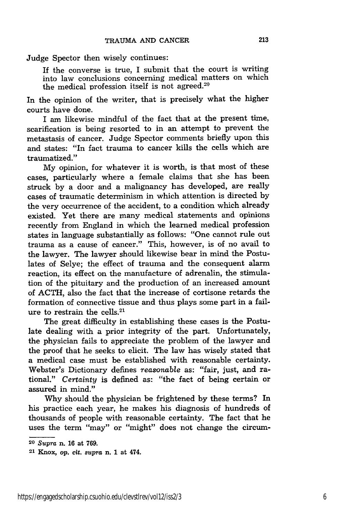Judge Spector then wisely continues:

If the converse is true, I submit that the court is writing into law conclusions concerning medical matters on which the medical profession itself is not agreed.<sup>20</sup>

In the opinion of the writer, that is precisely what the higher courts have done.

I am likewise mindful of the fact that at the present time, scarification is being resorted to in an attempt to prevent the metastasis of cancer. Judge Spector comments briefly upon this and states: "In fact trauma to cancer kills the cells which are traumatized."

My opinion, for whatever it is worth, is that most of these cases, particularly where a female claims that she has been struck by a door and a malignancy has developed, are really cases of traumatic determinism in which attention is directed by the very occurrence of the accident, to a condition which already existed. Yet there are many medical statements and opinions recently from England in which the learned medical profession states in language substantially as follows: "One cannot rule out trauma as a cause of cancer." This, however, is of no avail to the lawyer. The lawyer should likewise bear in mind the Postulates of Selye; the effect of trauma and the consequent alarm reaction, its effect on the manufacture of adrenalin, the stimulation of the pituitary and the production of an increased amount of ACTH, also the fact that the increase of cortisone retards the formation of connective tissue and thus plays some part in a failure to restrain the cells. <sup>21</sup>

The great difficulty in establishing these cases is the Postulate dealing with a prior integrity of the part. Unfortunately, the physician fails to appreciate the problem of the lawyer and the proof that he seeks to elicit. The law has wisely stated that a medical case must be established with reasonable certainty. Webster's Dictionary defines *reasonable* as: "fair, just, and rational." *Certainty* is defined as: "the fact of being certain or assured in mind."

Why should the physician be frightened by these terms? In his practice each year, he makes his diagnosis of hundreds of thousands of people with reasonable certainty. The fact that he uses the term "may" or "might" does not change the circum-

**<sup>20</sup>***Supra* n. 16 at 769.

**<sup>21</sup> Knox,** *op.* cit. *supra* **n.** 1 **at** 474.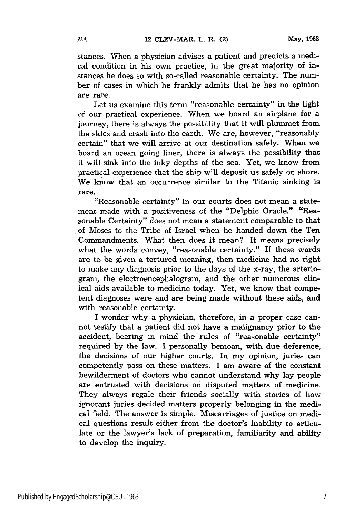stances. When a physician advises a patient and predicts a medical condition in his own practice, in the great majority of instances he does so with so-called reasonable certainty. The number of cases in which he frankly admits that he has no opinion are rare.

Let us examine this term "reasonable certainty" in the light of our practical experience. When we board an airplane for a journey, there is always the possibility that it will plummet from the skies and crash into the earth. We are, however, "reasonably certain" that we will arrive at our destination safely. When we board an ocean going liner, there is always the possibility that it will sink into the inky depths of the sea. Yet, we know from practical experience that the ship will deposit us safely on shore. We know that an occurrence similar to the Titanic sinking is rare.

"Reasonable certainty" in our courts does not mean a statement made with a positiveness of the "Delphic Oracle." "Reasonable Certainty" does not mean a statement comparable to that of Moses to the Tribe of Israel when he handed down the Ten Commandments. What then does it mean? It means precisely what the words convey, "reasonable certainty." If these words are to be given a tortured meaning, then medicine had no right to make any diagnosis prior to the days of the x-ray, the arteriogram, the electroencephalogram, and the other numerous clinical aids available to medicine today. Yet, we know that competent diagnoses were and are being made without these aids, and with reasonable certainty.

I wonder why a physician, therefore, in a proper case cannot testify that a patient did not have a malignancy prior to the accident, bearing in mind the rules of "reasonable certainty" required by the law. I personally bemoan, with due deference, the decisions of our higher courts. In my opinion, juries can competently pass on these matters. I am aware of the constant bewilderment of doctors who cannot understand why lay people are entrusted with decisions on disputed matters of medicine. They always regale their friends socially with stories of how ignorant juries decided matters properly belonging in the medical field. The answer is simple. Miscarriages of justice on medical questions result either from the doctor's inability to articulate or the lawyer's lack of preparation, familiarity and ability to develop the inquiry.

214